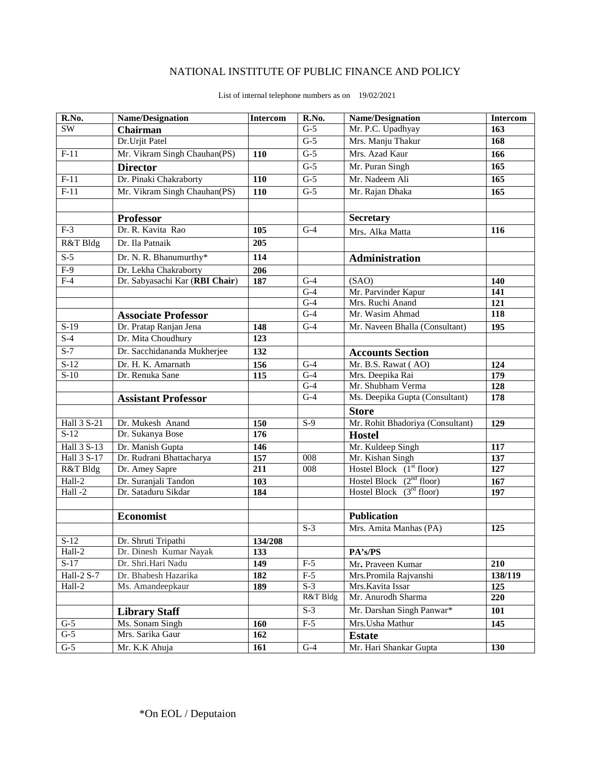## NATIONAL INSTITUTE OF PUBLIC FINANCE AND POLICY

| R.No.                  | <b>Name/Designation</b>        | Intercom | R.No.            | <b>Name/Designation</b>          | <b>Intercom</b> |
|------------------------|--------------------------------|----------|------------------|----------------------------------|-----------------|
| $\overline{\text{SW}}$ | Chairman                       |          | $G-5$            | Mr. P.C. Upadhyay                | 163             |
|                        | Dr.Urjit Patel                 |          | $\overline{G-5}$ | Mrs. Manju Thakur                | 168             |
| $F-11$                 | Mr. Vikram Singh Chauhan(PS)   | 110      | $G-5$            | Mrs. Azad Kaur                   | 166             |
|                        | <b>Director</b>                |          | $G-5$            | Mr. Puran Singh                  | 165             |
| $F-11$                 | Dr. Pinaki Chakraborty         | 110      | $\overline{G-5}$ | Mr. Nadeem Ali                   | 165             |
| $F-11$                 | Mr. Vikram Singh Chauhan(PS)   | 110      | $G-5$            | Mr. Rajan Dhaka                  | 165             |
|                        |                                |          |                  |                                  |                 |
|                        | <b>Professor</b>               |          |                  | <b>Secretary</b>                 |                 |
| $F-3$                  | Dr. R. Kavita Rao              | 105      | $G-4$            | Mrs. Alka Matta                  | 116             |
| R&T Bldg               | Dr. Ila Patnaik                | 205      |                  |                                  |                 |
| $S-5$                  | Dr. N. R. Bhanumurthy*         | 114      |                  | Administration                   |                 |
| $F-9$                  | Dr. Lekha Chakraborty          | 206      |                  |                                  |                 |
| $F-4$                  | Dr. Sabyasachi Kar (RBI Chair) | 187      | $G-4$            | (SAO)                            | 140             |
|                        |                                |          | $G-4$            | Mr. Parvinder Kapur              | 141             |
|                        |                                |          | $G-4$            | Mrs. Ruchi Anand                 | 121             |
|                        | <b>Associate Professor</b>     |          | $G-4$            | Mr. Wasim Ahmad                  | 118             |
| $S-19$                 | Dr. Pratap Ranjan Jena         | 148      | $\overline{G-4}$ | Mr. Naveen Bhalla (Consultant)   | 195             |
| $S-4$                  | Dr. Mita Choudhury             | 123      |                  |                                  |                 |
| $S-7$                  | Dr. Sacchidananda Mukherjee    | 132      |                  | <b>Accounts Section</b>          |                 |
| $S-12$                 | Dr. H. K. Amarnath             | 156      | $\overline{G-4}$ | Mr. B.S. Rawat (AO)              | 124             |
| $S-10$                 | Dr. Renuka Sane                | 115      | $G-4$            | Mrs. Deepika Rai                 | 179             |
|                        |                                |          | $\overline{G-4}$ | Mr. Shubham Verma                | 128             |
|                        | <b>Assistant Professor</b>     |          | $G-4$            | Ms. Deepika Gupta (Consultant)   | 178             |
|                        |                                |          |                  | <b>Store</b>                     |                 |
| Hall 3 S-21            | Dr. Mukesh Anand               | 150      | $S-9$            | Mr. Rohit Bhadoriya (Consultant) | 129             |
| $S-12$                 | Dr. Sukanya Bose               | 176      |                  | <b>Hostel</b>                    |                 |
| Hall 3 S-13            | Dr. Manish Gupta               | 146      |                  | Mr. Kuldeep Singh                | 117             |
| Hall 3 S-17            | Dr. Rudrani Bhattacharya       | 157      | 008              | Mr. Kishan Singh                 | 137             |
| R&T Bldg               | Dr. Amey Sapre                 | 211      | $\overline{008}$ | Hostel Block $(1st floor)$       | 127             |
| $Hall-2$               | Dr. Suranjali Tandon           | 103      |                  | Hostel Block $(2nd floor)$       | 167             |
| Hall-2                 | Dr. Sataduru Sikdar            | 184      |                  | Hostel Block $(3rd$ floor)       | 197             |
|                        |                                |          |                  |                                  |                 |
|                        | <b>Economist</b>               |          |                  | <b>Publication</b>               |                 |
|                        |                                |          | $S-3$            | Mrs. Amita Manhas (PA)           | 125             |
| $S-12$                 | Dr. Shruti Tripathi            | 134/208  |                  |                                  |                 |
| Hall-2                 | Dr. Dinesh Kumar Nayak         | 133      |                  | PA's/PS                          |                 |
| $S-17$                 | Dr. Shri.Hari Nadu             | 149      | $F-5$            | Mr. Praveen Kumar                | 210             |
| Hall-2 S-7             | Dr. Bhabesh Hazarika           | 182      | $F-5$            | Mrs.Promila Rajvanshi            | 138/119         |
| Hall-2                 | Ms. Amandeepkaur               | 189      | $S-3$            | Mrs. Kavita Issar                | 125             |
|                        |                                |          | R&T Bldg         | Mr. Anurodh Sharma               | 220             |
|                        | <b>Library Staff</b>           |          | $S-3$            | Mr. Darshan Singh Panwar*        | 101             |
| $G-5$                  | Ms. Sonam Singh                | 160      | $F-5$            | Mrs. Usha Mathur                 | 145             |
| $G-5$                  | Mrs. Sarika Gaur               | 162      |                  | <b>Estate</b>                    |                 |
| $G-5$                  | Mr. K.K Ahuja                  | 161      | $G-4$            | Mr. Hari Shankar Gupta           | 130             |

## List of internal telephone numbers as on 19/02/2021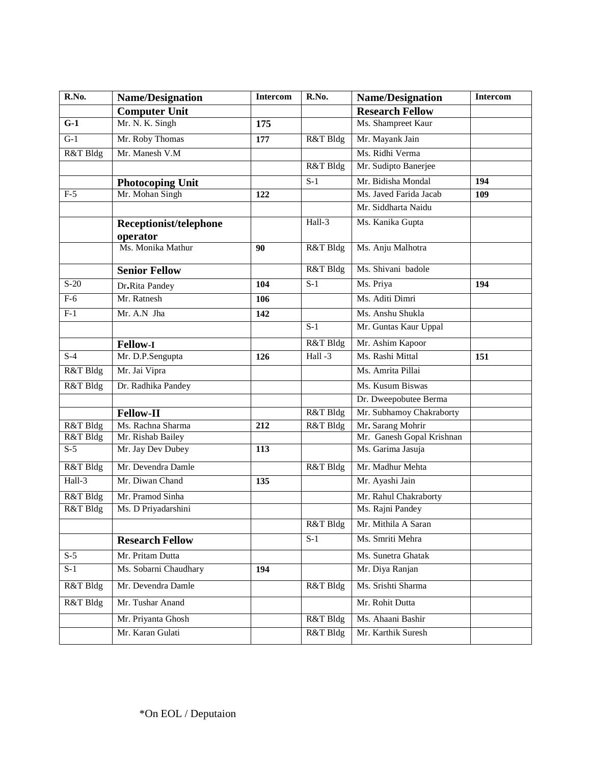| R.No.            | <b>Name/Designation</b> | Intercom        | R.No.                           | <b>Name/Designation</b>   | <b>Intercom</b> |
|------------------|-------------------------|-----------------|---------------------------------|---------------------------|-----------------|
|                  | <b>Computer Unit</b>    |                 |                                 | <b>Research Fellow</b>    |                 |
| $G-1$            | Mr. N. K. Singh         | 175             |                                 | Ms. Shampreet Kaur        |                 |
| $\overline{G-1}$ | Mr. Roby Thomas         | 177             | R&T Bldg                        | Mr. Mayank Jain           |                 |
| R&T Bldg         | Mr. Manesh V.M          |                 |                                 | Ms. Ridhi Verma           |                 |
|                  |                         |                 | R&T Bldg                        | Mr. Sudipto Banerjee      |                 |
|                  | <b>Photocoping Unit</b> |                 | $S-1$                           | Mr. Bidisha Mondal        | 194             |
| $F-5$            | Mr. Mohan Singh         | 122             |                                 | Ms. Javed Farida Jacab    | 109             |
|                  |                         |                 |                                 | Mr. Siddharta Naidu       |                 |
|                  | Receptionist/telephone  |                 | Hall-3                          | Ms. Kanika Gupta          |                 |
|                  | operator                |                 |                                 |                           |                 |
|                  | Ms. Monika Mathur       | 90              | R&T Bldg                        | Ms. Anju Malhotra         |                 |
|                  | <b>Senior Fellow</b>    |                 | R&T Bldg                        | Ms. Shivani badole        |                 |
| $S-20$           | Dr.Rita Pandey          | 104             | $\overline{S-1}$                | Ms. Priya                 | 194             |
| $F-6$            | Mr. Ratnesh             | 106             |                                 | Ms. Aditi Dimri           |                 |
| $F-1$            | Mr. A.N Jha             | 142             |                                 | Ms. Anshu Shukla          |                 |
|                  |                         |                 | $S-1$                           | Mr. Guntas Kaur Uppal     |                 |
|                  | <b>Fellow-I</b>         |                 | $\overline{\text{R&ampT Bldg}}$ | Mr. Ashim Kapoor          |                 |
| $S-4$            | Mr. D.P.Sengupta        | 126             | Hall-3                          | Ms. Rashi Mittal          | 151             |
| R&T Bldg         | Mr. Jai Vipra           |                 |                                 | Ms. Amrita Pillai         |                 |
| R&T Bldg         | Dr. Radhika Pandey      |                 |                                 | Ms. Kusum Biswas          |                 |
|                  |                         |                 |                                 | Dr. Dweepobutee Berma     |                 |
|                  | <b>Fellow-II</b>        |                 | R&T Bldg                        | Mr. Subhamoy Chakraborty  |                 |
| R&T Bldg         | Ms. Rachna Sharma       | 212             | R&T Bldg                        | Mr. Sarang Mohrir         |                 |
| R&T Bldg         | Mr. Rishab Bailey       |                 |                                 | Mr. Ganesh Gopal Krishnan |                 |
| $S-5$            | Mr. Jay Dev Dubey       | 113             |                                 | Ms. Garima Jasuja         |                 |
| R&T Bldg         | Mr. Devendra Damle      |                 | R&T Bldg                        | Mr. Madhur Mehta          |                 |
| Hall-3           | Mr. Diwan Chand         | $\frac{135}{2}$ |                                 | Mr. Ayashi Jain           |                 |
| R&T Bldg         | Mr. Pramod Sinha        |                 |                                 | Mr. Rahul Chakraborty     |                 |
| R&T Bldg         | Ms. D Priyadarshini     |                 |                                 | Ms. Rajni Pandey          |                 |
|                  |                         |                 | R&T Bldg                        | Mr. Mithila A Saran       |                 |
|                  | <b>Research Fellow</b>  |                 | $S-1$                           | Ms. Smriti Mehra          |                 |
| $S-5$            | Mr. Pritam Dutta        |                 |                                 | Ms. Sunetra Ghatak        |                 |
| $S-1$            | Ms. Sobarni Chaudhary   | 194             |                                 | Mr. Diya Ranjan           |                 |
| R&T Bldg         | Mr. Devendra Damle      |                 | R&T Bldg                        | Ms. Srishti Sharma        |                 |
| R&T Bldg         | Mr. Tushar Anand        |                 |                                 | Mr. Rohit Dutta           |                 |
|                  | Mr. Priyanta Ghosh      |                 | R&T Bldg                        | Ms. Ahaani Bashir         |                 |
|                  | Mr. Karan Gulati        |                 | R&T Bldg                        | Mr. Karthik Suresh        |                 |